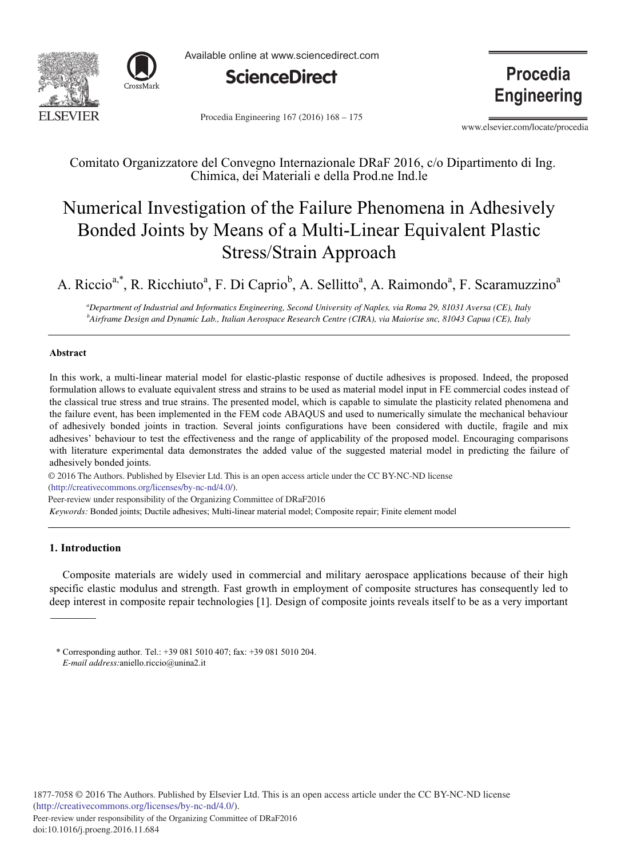



Available online at www.sciencedirect.com



Procedia Engineering 167 (2016) 168 – 175

**Procedia Engineering** 

www.elsevier.com/locate/procedia

Comitato Organizzatore del Convegno Internazionale DRaF 2016, c/o Dipartimento di Ing. Chimica, dei Materiali e della Prod.ne Ind.le

# Numerical Investigation of the Failure Phenomena in Adhesively Bonded Joints by Means of a Multi-Linear Equivalent Plastic Stress/Strain Approach

A. Riccio<sup>a,\*</sup>, R. Ricchiuto<sup>a</sup>, F. Di Caprio<sup>b</sup>, A. Sellitto<sup>a</sup>, A. Raimondo<sup>a</sup>, F. Scaramuzzino<sup>a</sup>

*a Department of Industrial and Informatics Engineering, Second University of Naples, via Roma 29, 81031 Aversa (CE), Italy b Airframe Design and Dynamic Lab., Italian Aerospace Research Centre (CIRA), via Maiorise snc, 81043 Capua (CE), Italy*

## **Abstract**

In this work, a multi-linear material model for elastic-plastic response of ductile adhesives is proposed. Indeed, the proposed formulation allows to evaluate equivalent stress and strains to be used as material model input in FE commercial codes instead of the classical true stress and true strains. The presented model, which is capable to simulate the plasticity related phenomena and the failure event, has been implemented in the FEM code ABAQUS and used to numerically simulate the mechanical behaviour of adhesively bonded joints in traction. Several joints configurations have been considered with ductile, fragile and mix adhesives' behaviour to test the effectiveness and the range of applicability of the proposed model. Encouraging comparisons with literature experimental data demonstrates the added value of the suggested material model in predicting the failure of adhesively bonded joints.

© 2016 The Authors. Published by Elsevier Ltd. © 2016 The Authors. Published by Elsevier Ltd. This is an open access article under the CC BY-NC-ND license (http://creativecommons.org/licenses/by-nc-nd/4.0/). Peer-review under responsibility of the Organizing Committee of DRaF2016

*Keywords:* Bonded joints; Ductile adhesives; Multi-linear material model; Composite repair; Finite element model

## **1. Introduction**

Composite materials are widely used in commercial and military aerospace applications because of their high specific elastic modulus and strength. Fast growth in employment of composite structures has consequently led to deep interest in composite repair technologies [1]. Design of composite joints reveals itself to be as a very important

<sup>\*</sup> Corresponding author. Tel.: +39 081 5010 407; fax: +39 081 5010 204. *E-mail address:*aniello.riccio@unina2.it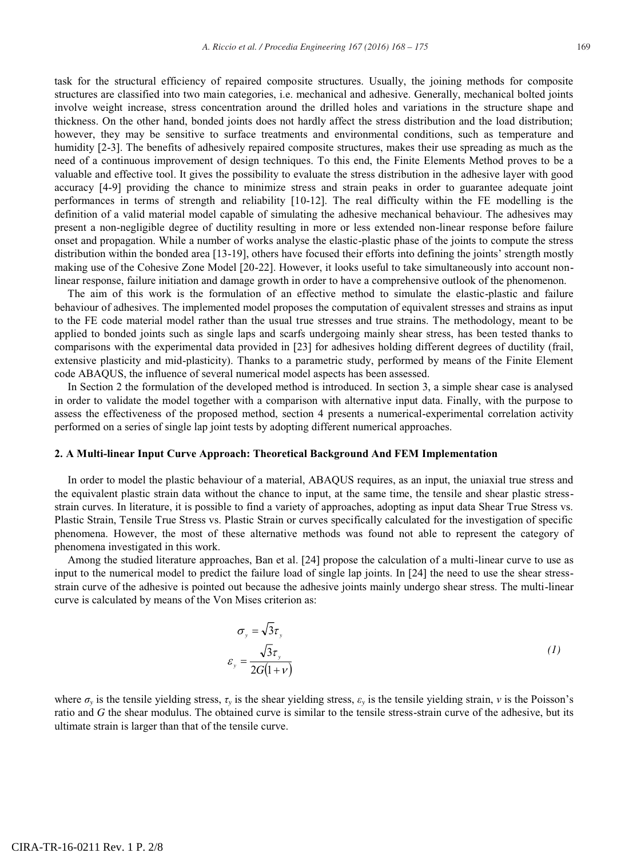task for the structural efficiency of repaired composite structures. Usually, the joining methods for composite structures are classified into two main categories, i.e. mechanical and adhesive. Generally, mechanical bolted joints involve weight increase, stress concentration around the drilled holes and variations in the structure shape and thickness. On the other hand, bonded joints does not hardly affect the stress distribution and the load distribution; however, they may be sensitive to surface treatments and environmental conditions, such as temperature and humidity [2-3]. The benefits of adhesively repaired composite structures, makes their use spreading as much as the need of a continuous improvement of design techniques. To this end, the Finite Elements Method proves to be a valuable and effective tool. It gives the possibility to evaluate the stress distribution in the adhesive layer with good accuracy [4-9] providing the chance to minimize stress and strain peaks in order to guarantee adequate joint performances in terms of strength and reliability [10-12]. The real difficulty within the FE modelling is the definition of a valid material model capable of simulating the adhesive mechanical behaviour. The adhesives may present a non-negligible degree of ductility resulting in more or less extended non-linear response before failure onset and propagation. While a number of works analyse the elastic-plastic phase of the joints to compute the stress distribution within the bonded area [13-19], others have focused their efforts into defining the joints' strength mostly making use of the Cohesive Zone Model [20-22]. However, it looks useful to take simultaneously into account nonlinear response, failure initiation and damage growth in order to have a comprehensive outlook of the phenomenon.

The aim of this work is the formulation of an effective method to simulate the elastic-plastic and failure behaviour of adhesives. The implemented model proposes the computation of equivalent stresses and strains as input to the FE code material model rather than the usual true stresses and true strains. The methodology, meant to be applied to bonded joints such as single laps and scarfs undergoing mainly shear stress, has been tested thanks to comparisons with the experimental data provided in [23] for adhesives holding different degrees of ductility (frail, extensive plasticity and mid-plasticity). Thanks to a parametric study, performed by means of the Finite Element code ABAQUS, the influence of several numerical model aspects has been assessed.

In Section 2 the formulation of the developed method is introduced. In section 3, a simple shear case is analysed in order to validate the model together with a comparison with alternative input data. Finally, with the purpose to assess the effectiveness of the proposed method, section 4 presents a numerical-experimental correlation activity performed on a series of single lap joint tests by adopting different numerical approaches.

## **2. A Multi-linear Input Curve Approach: Theoretical Background And FEM Implementation**

In order to model the plastic behaviour of a material, ABAQUS requires, as an input, the uniaxial true stress and the equivalent plastic strain data without the chance to input, at the same time, the tensile and shear plastic stressstrain curves. In literature, it is possible to find a variety of approaches, adopting as input data Shear True Stress vs. Plastic Strain, Tensile True Stress vs. Plastic Strain or curves specifically calculated for the investigation of specific phenomena. However, the most of these alternative methods was found not able to represent the category of phenomena investigated in this work.

Among the studied literature approaches, Ban et al. [24] propose the calculation of a multi-linear curve to use as input to the numerical model to predict the failure load of single lap joints. In [24] the need to use the shear stressstrain curve of the adhesive is pointed out because the adhesive joints mainly undergo shear stress. The multi-linear curve is calculated by means of the Von Mises criterion as:

$$
\sigma_y = \sqrt{3}\tau_y
$$
  

$$
\varepsilon_y = \frac{\sqrt{3}\tau_y}{2G(1+\nu)}
$$
 (1)

where  $\sigma_y$  is the tensile yielding stress,  $\tau_y$  is the shear yielding stress,  $\varepsilon_y$  is the tensile yielding strain, *v* is the Poisson's ratio and *G* the shear modulus. The obtained curve is similar to the tensile stress-strain curve of the adhesive, but its ultimate strain is larger than that of the tensile curve.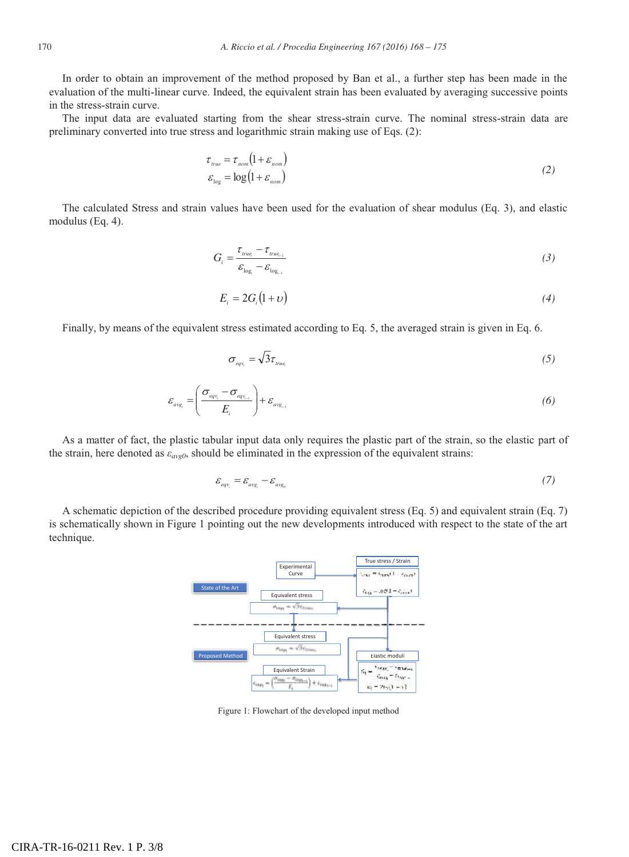In order to obtain an improvement of the method proposed by Ban et al., a further step has been made in the evaluation of the multi-linear curve. Indeed, the equivalent strain has been evaluated by averaging successive points in the stress-strain curve.

The input data are evaluated starting from the shear stress-strain curve. The nominal stress-strain data are preliminary converted into true stress and logarithmic strain making use of Eqs. (2):

$$
\tau_{true} = \tau_{nom} (1 + \varepsilon_{nom})
$$
  
\n
$$
\varepsilon_{log} = \log (1 + \varepsilon_{nom})
$$
\n(2)

The calculated Stress and strain values have been used for the evaluation of shear modulus (Eq. 3), and elastic modulus (Eq. 4).

$$
G_i = \frac{\tau_{true_i} - \tau_{true_{i-1}}}{\varepsilon_{\log_i} - \varepsilon_{\log_{i-1}}}
$$
\n(3)

$$
E_i = 2G_i(1+\nu) \tag{4}
$$

Finally, by means of the equivalent stress estimated according to Eq. 5, the averaged strain is given in Eq. 6.

$$
\sigma_{\text{eq}v_i} = \sqrt{3}\tau_{\text{true}} \tag{5}
$$

$$
\varepsilon_{avg_i} = \left(\frac{\sigma_{eqv_i} - \sigma_{eqv_{i-1}}}{E_i}\right) + \varepsilon_{avg_{i-1}} \tag{6}
$$

As a matter of fact, the plastic tabular input data only requires the plastic part of the strain, so the elastic part of the strain, here denoted as *εavg0*, should be eliminated in the expression of the equivalent strains:

$$
\mathcal{E}_{\mathit{eqv_i}} = \mathcal{E}_{\mathit{avg_i}} - \mathcal{E}_{\mathit{avg_0}} \tag{7}
$$

A schematic depiction of the described procedure providing equivalent stress (Eq. 5) and equivalent strain (Eq. 7) is schematically shown in Figure 1 pointing out the new developments introduced with respect to the state of the art technique.



Figure 1: Flowchart of the developed input method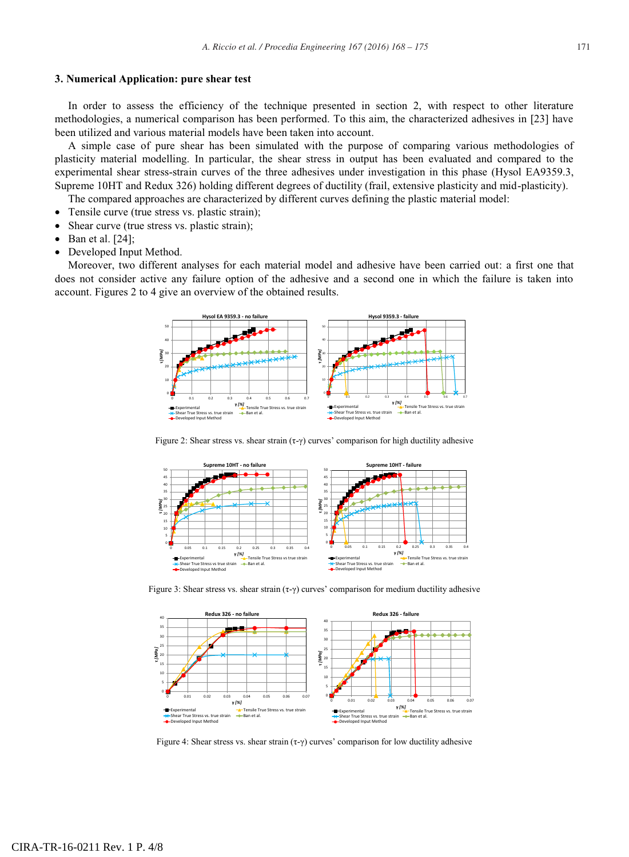#### **3. Numerical Application: pure shear test**

In order to assess the efficiency of the technique presented in section 2, with respect to other literature methodologies, a numerical comparison has been performed. To this aim, the characterized adhesives in [23] have been utilized and various material models have been taken into account.

A simple case of pure shear has been simulated with the purpose of comparing various methodologies of plasticity material modelling. In particular, the shear stress in output has been evaluated and compared to the experimental shear stress-strain curves of the three adhesives under investigation in this phase (Hysol EA9359.3, Supreme 10HT and Redux 326) holding different degrees of ductility (frail, extensive plasticity and mid-plasticity).

The compared approaches are characterized by different curves defining the plastic material model:

- Tensile curve (true stress vs. plastic strain);
- Shear curve (true stress vs. plastic strain);
- $\bullet$  Ban et al. [24];
- Developed Input Method.

Moreover, two different analyses for each material model and adhesive have been carried out: a first one that does not consider active any failure option of the adhesive and a second one in which the failure is taken into account. Figures 2 to 4 give an overview of the obtained results.



Figure 2: Shear stress vs. shear strain (τ-γ) curves' comparison for high ductility adhesive



Figure 3: Shear stress vs. shear strain  $(\tau - \gamma)$  curves' comparison for medium ductility adhesive



Figure 4: Shear stress vs. shear strain  $(\tau - \gamma)$  curves' comparison for low ductility adhesive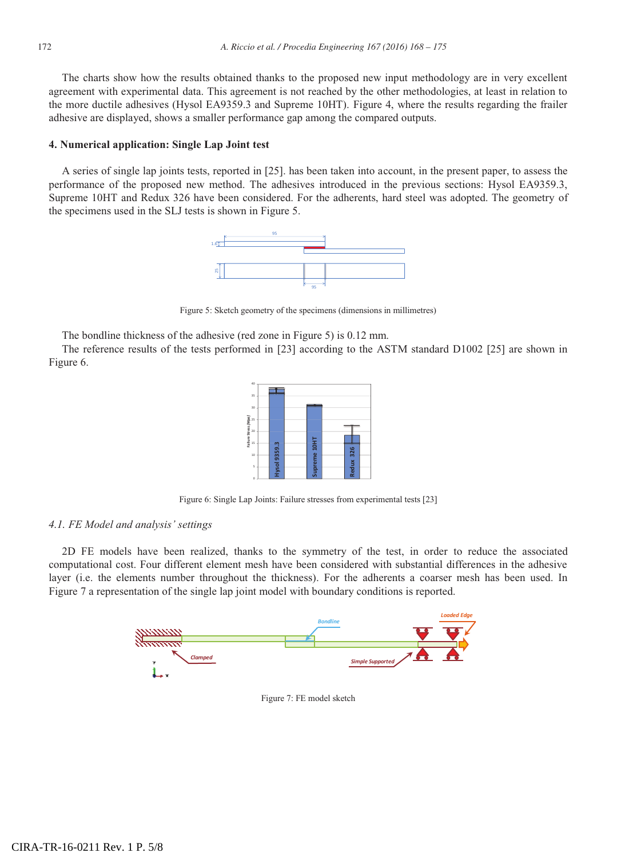The charts show how the results obtained thanks to the proposed new input methodology are in very excellent agreement with experimental data. This agreement is not reached by the other methodologies, at least in relation to the more ductile adhesives (Hysol EA9359.3 and Supreme 10HT). Figure 4, where the results regarding the frailer adhesive are displayed, shows a smaller performance gap among the compared outputs.

## **4. Numerical application: Single Lap Joint test**

A series of single lap joints tests, reported in [25]. has been taken into account, in the present paper, to assess the performance of the proposed new method. The adhesives introduced in the previous sections: Hysol EA9359.3, Supreme 10HT and Redux 326 have been considered. For the adherents, hard steel was adopted. The geometry of the specimens used in the SLJ tests is shown in Figure 5.



Figure 5: Sketch geometry of the specimens (dimensions in millimetres)

The bondline thickness of the adhesive (red zone in Figure 5) is 0.12 mm.

The reference results of the tests performed in [23] according to the ASTM standard D1002 [25] are shown in Figure 6.



Figure 6: Single Lap Joints: Failure stresses from experimental tests [23]

### *4.1. FE Model and analysis' settings*

2D FE models have been realized, thanks to the symmetry of the test, in order to reduce the associated computational cost. Four different element mesh have been considered with substantial differences in the adhesive layer (i.e. the elements number throughout the thickness). For the adherents a coarser mesh has been used. In Figure 7 a representation of the single lap joint model with boundary conditions is reported.



Figure 7: FE model sketch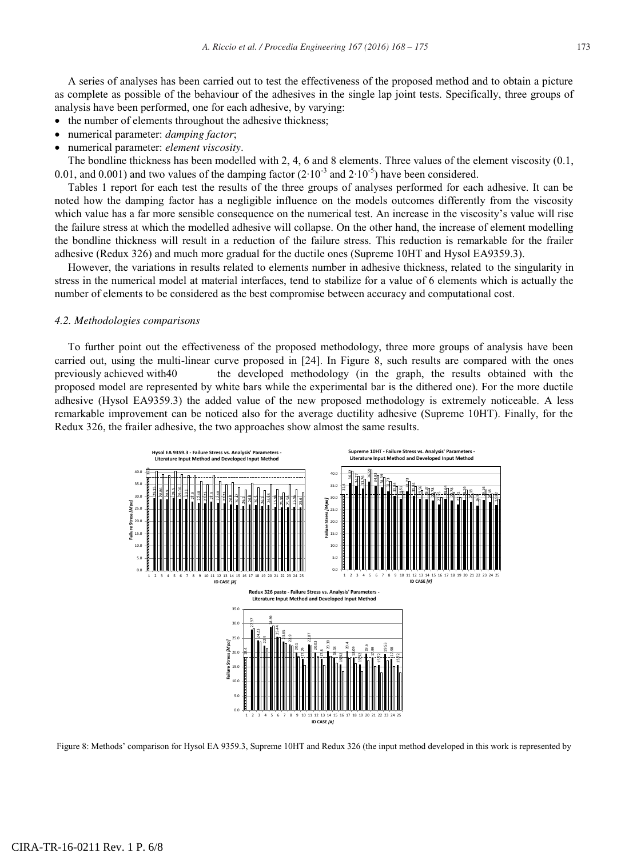A series of analyses has been carried out to test the effectiveness of the proposed method and to obtain a picture as complete as possible of the behaviour of the adhesives in the single lap joint tests. Specifically, three groups of analysis have been performed, one for each adhesive, by varying:

- the number of elements throughout the adhesive thickness;
- numerical parameter: *damping factor*;
- x numerical parameter: *element viscosity*.

The bondline thickness has been modelled with 2, 4, 6 and 8 elements. Three values of the element viscosity (0.1, 0.01, and 0.001) and two values of the damping factor (2∙10-3 and 2∙10-5) have been considered.

Tables 1 report for each test the results of the three groups of analyses performed for each adhesive. It can be noted how the damping factor has a negligible influence on the models outcomes differently from the viscosity which value has a far more sensible consequence on the numerical test. An increase in the viscosity's value will rise the failure stress at which the modelled adhesive will collapse. On the other hand, the increase of element modelling the bondline thickness will result in a reduction of the failure stress. This reduction is remarkable for the frailer adhesive (Redux 326) and much more gradual for the ductile ones (Supreme 10HT and Hysol EA9359.3).

However, the variations in results related to elements number in adhesive thickness, related to the singularity in stress in the numerical model at material interfaces, tend to stabilize for a value of 6 elements which is actually the number of elements to be considered as the best compromise between accuracy and computational cost.

#### *4.2. Methodologies comparisons*

To further point out the effectiveness of the proposed methodology, three more groups of analysis have been carried out, using the multi-linear curve proposed in [24]. In Figure 8, such results are compared with the ones previously achieved with40 the developed methodology (in the graph, the results obtained with the proposed model are represented by white bars while the experimental bar is the dithered one). For the more ductile adhesive (Hysol EA9359.3) the added value of the new proposed methodology is extremely noticeable. A less remarkable improvement can be noticed also for the average ductility adhesive (Supreme 10HT). Finally, for the Redux 326, the frailer adhesive, the two approaches show almost the same results.

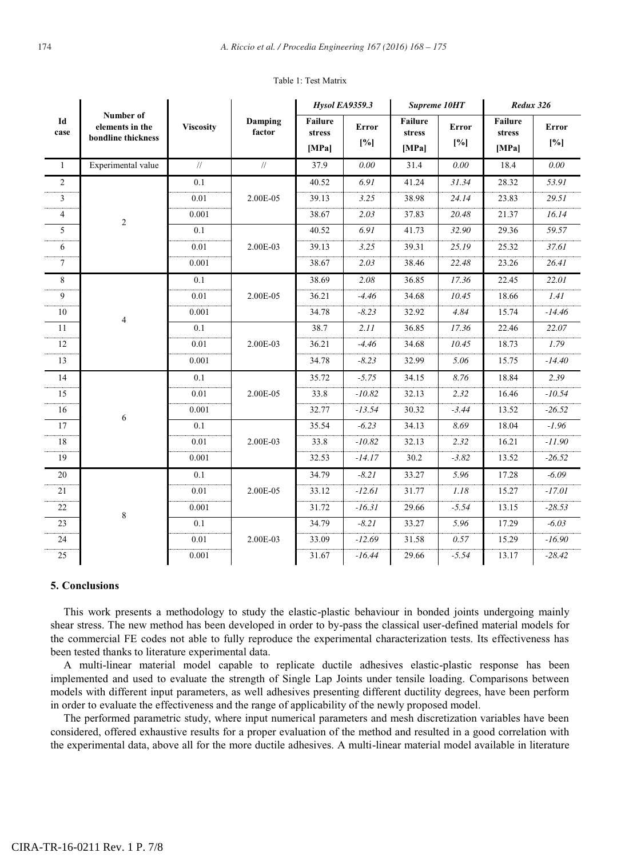| Id<br>case     | Number of<br>elements in the<br>bondline thickness | <b>Viscosity</b> | Damping<br>factor | <b>Hysol EA9359.3</b>      |                     | Supreme 10HT                      |              | Redux 326                  |              |
|----------------|----------------------------------------------------|------------------|-------------------|----------------------------|---------------------|-----------------------------------|--------------|----------------------------|--------------|
|                |                                                    |                  |                   | Failure<br>stress<br>[MPa] | <b>Error</b><br>[%] | <b>Failure</b><br>stress<br>[MPa] | Error<br>[%] | Failure<br>stress<br>[MPa] | Error<br>[%] |
| $\mathbf{1}$   | Experimental value                                 | $\frac{1}{2}$    | $\frac{1}{2}$     | 37.9                       | 0.00                | 31.4                              | 0.00         | 18.4                       | 0.00         |
| $\overline{2}$ | $\sqrt{2}$                                         | 0.1              | 2.00E-05          | 40.52                      | 6.91                | 41.24                             | 31.34        | 28.32                      | 53.91        |
| 3              |                                                    | 0.01             |                   | 39.13                      | 3.25                | 38.98                             | 24.14        | 23.83                      | 29.51        |
| $\overline{4}$ |                                                    | 0.001            |                   | 38.67                      | 2.03                | 37.83                             | 20.48        | 21.37                      | 16.14        |
| 5              |                                                    | 0.1              | 2.00E-03          | 40.52                      | 6.91                | 41.73                             | 32.90        | 29.36                      | 59.57        |
| 6              |                                                    | 0.01             |                   | 39.13                      | 3.25                | 39.31                             | 25.19        | 25.32                      | 37.61        |
| $\tau$         |                                                    | 0.001            |                   | 38.67                      | 2.03                | 38.46                             | 22.48        | 23.26                      | 26.41        |
| 8              | 4                                                  | 0.1              | 2.00E-05          | 38.69                      | 2.08                | 36.85                             | 17.36        | 22.45                      | 22.01        |
| 9              |                                                    | 0.01             |                   | 36.21                      | $-4.46$             | 34.68                             | 10.45        | 18.66                      | 1.41         |
| 10             |                                                    | 0.001            |                   | 34.78                      | $-8.23$             | 32.92                             | 4.84         | 15.74                      | $-14.46$     |
| 11             |                                                    | 0.1              | 2.00E-03          | 38.7                       | 2.11                | 36.85                             | 17.36        | 22.46                      | 22.07        |
| 12             |                                                    | 0.01             |                   | 36.21                      | $-4.46$             | 34.68                             | 10.45        | 18.73                      | 1.79         |
| 13             |                                                    | 0.001            |                   | 34.78                      | $-8.23$             | 32.99                             | 5.06         | 15.75                      | $-14.40$     |
| 14             | 6                                                  | 0.1              | 2.00E-05          | 35.72                      | $-5.75$             | 34.15                             | 8.76         | 18.84                      | 2.39         |
| 15             |                                                    | 0.01             |                   | 33.8                       | $-10.82$            | 32.13                             | 2.32         | 16.46                      | $-10.54$     |
| 16             |                                                    | 0.001            |                   | 32.77                      | $-13.54$            | 30.32                             | $-3.44$      | 13.52                      | $-26.52$     |
| 17             |                                                    | 0.1              | 2.00E-03          | 35.54                      | $-6.23$             | 34.13                             | 8.69         | 18.04                      | $-1.96$      |
| 18             |                                                    | 0.01             |                   | 33.8                       | $-10.82$            | 32.13                             | 2.32         | 16.21                      | $-11.90$     |
| 19             |                                                    | 0.001            |                   | 32.53                      | $-14.17$            | 30.2                              | $-3.82$      | 13.52                      | $-26.52$     |
| 20             | 8                                                  | 0.1              | 2.00E-05          | 34.79                      | $-8.21$             | 33.27                             | 5.96         | 17.28                      | $-6.09$      |
| 21             |                                                    | 0.01             |                   | 33.12                      | $-12.61$            | 31.77                             | 1.18         | 15.27                      | $-17.01$     |
| 22             |                                                    | 0.001            |                   | 31.72                      | $-16.31$            | 29.66                             | $-5.54$      | 13.15                      | $-28.53$     |
| 23             |                                                    | 0.1              | 2.00E-03          | 34.79                      | $-8.21$             | 33.27                             | 5.96         | 17.29                      | $-6.03$      |
| 24             |                                                    | 0.01             |                   | 33.09                      | $-12.69$            | 31.58                             | 0.57         | 15.29                      | $-16.90$     |
| 25             |                                                    | 0.001            |                   | 31.67                      | $-16.44$            | 29.66                             | $-5.54$      | 13.17                      | $-28.42$     |
|                |                                                    |                  |                   |                            |                     |                                   |              |                            |              |

#### Table 1: Test Matrix

## **5. Conclusions**

This work presents a methodology to study the elastic-plastic behaviour in bonded joints undergoing mainly shear stress. The new method has been developed in order to by-pass the classical user-defined material models for the commercial FE codes not able to fully reproduce the experimental characterization tests. Its effectiveness has been tested thanks to literature experimental data.

A multi-linear material model capable to replicate ductile adhesives elastic-plastic response has been implemented and used to evaluate the strength of Single Lap Joints under tensile loading. Comparisons between models with different input parameters, as well adhesives presenting different ductility degrees, have been perform in order to evaluate the effectiveness and the range of applicability of the newly proposed model.

The performed parametric study, where input numerical parameters and mesh discretization variables have been considered, offered exhaustive results for a proper evaluation of the method and resulted in a good correlation with the experimental data, above all for the more ductile adhesives. A multi-linear material model available in literature